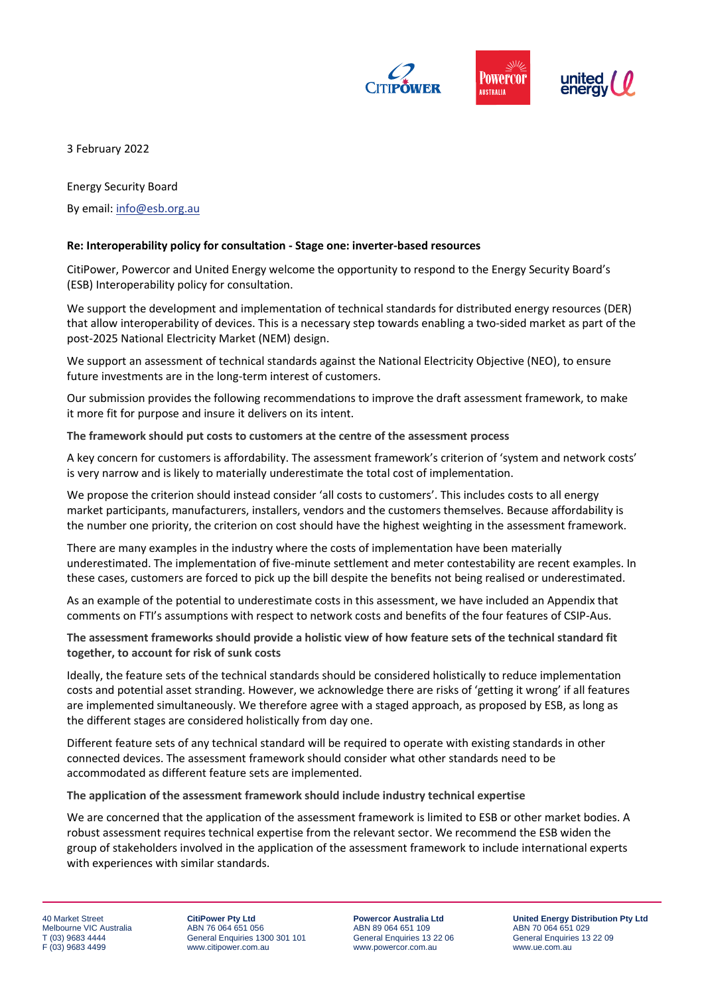

3 February 2022

Energy Security Board

By email: [info@esb.org.au](mailto:info@esb.org.au)

## **Re: Interoperability policy for consultation - Stage one: inverter-based resources**

CitiPower, Powercor and United Energy welcome the opportunity to respond to the Energy Security Board's (ESB) Interoperability policy for consultation.

We support the development and implementation of technical standards for distributed energy resources (DER) that allow interoperability of devices. This is a necessary step towards enabling a two-sided market as part of the post-2025 National Electricity Market (NEM) design.

We support an assessment of technical standards against the National Electricity Objective (NEO), to ensure future investments are in the long-term interest of customers.

Our submission provides the following recommendations to improve the draft assessment framework, to make it more fit for purpose and insure it delivers on its intent.

**The framework should put costs to customers at the centre of the assessment process**

A key concern for customers is affordability. The assessment framework's criterion of 'system and network costs' is very narrow and is likely to materially underestimate the total cost of implementation.

We propose the criterion should instead consider 'all costs to customers'. This includes costs to all energy market participants, manufacturers, installers, vendors and the customers themselves. Because affordability is the number one priority, the criterion on cost should have the highest weighting in the assessment framework.

There are many examples in the industry where the costs of implementation have been materially underestimated. The implementation of five-minute settlement and meter contestability are recent examples. In these cases, customers are forced to pick up the bill despite the benefits not being realised or underestimated.

As an example of the potential to underestimate costs in this assessment, we have included an Appendix that comments on FTI's assumptions with respect to network costs and benefits of the four features of CSIP-Aus.

**The assessment frameworks should provide a holistic view of how feature sets of the technical standard fit together, to account for risk of sunk costs** 

Ideally, the feature sets of the technical standards should be considered holistically to reduce implementation costs and potential asset stranding. However, we acknowledge there are risks of 'getting it wrong' if all features are implemented simultaneously. We therefore agree with a staged approach, as proposed by ESB, as long as the different stages are considered holistically from day one.

Different feature sets of any technical standard will be required to operate with existing standards in other connected devices. The assessment framework should consider what other standards need to be accommodated as different feature sets are implemented.

**The application of the assessment framework should include industry technical expertise**

We are concerned that the application of the assessment framework is limited to ESB or other market bodies. A robust assessment requires technical expertise from the relevant sector. We recommend the ESB widen the group of stakeholders involved in the application of the assessment framework to include international experts with experiences with similar standards.

40 Market Street Melbourne VIC Australia T (03) 9683 4444 F (03) 9683 4499

**CitiPower Pty Ltd** ABN 76 064 651 056 General Enquiries 1300 301 101 www.citipower.com.au

**Powercor Australia Ltd** ABN 89 064 651 109 General Enquiries 13 22 06 www.powercor.com.au

**United Energy Distribution Pty Ltd** ABN 70 064 651 029 General Enquiries 13 22 09 www.ue.com.au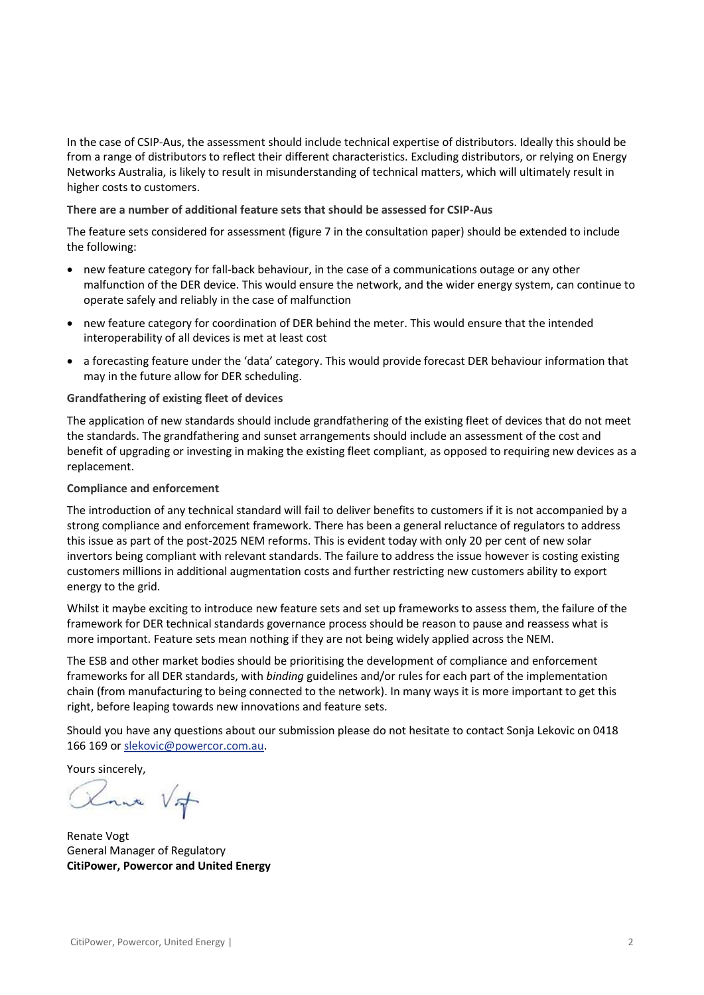In the case of CSIP-Aus, the assessment should include technical expertise of distributors. Ideally this should be from a range of distributors to reflect their different characteristics. Excluding distributors, or relying on Energy Networks Australia, is likely to result in misunderstanding of technical matters, which will ultimately result in higher costs to customers.

**There are a number of additional feature sets that should be assessed for CSIP-Aus**

The feature sets considered for assessment (figure 7 in the consultation paper) should be extended to include the following:

- new feature category for fall-back behaviour, in the case of a communications outage or any other malfunction of the DER device. This would ensure the network, and the wider energy system, can continue to operate safely and reliably in the case of malfunction
- new feature category for coordination of DER behind the meter. This would ensure that the intended interoperability of all devices is met at least cost
- a forecasting feature under the 'data' category. This would provide forecast DER behaviour information that may in the future allow for DER scheduling.

## **Grandfathering of existing fleet of devices**

The application of new standards should include grandfathering of the existing fleet of devices that do not meet the standards. The grandfathering and sunset arrangements should include an assessment of the cost and benefit of upgrading or investing in making the existing fleet compliant, as opposed to requiring new devices as a replacement.

## **Compliance and enforcement**

The introduction of any technical standard will fail to deliver benefits to customers if it is not accompanied by a strong compliance and enforcement framework. There has been a general reluctance of regulators to address this issue as part of the post-2025 NEM reforms. This is evident today with only 20 per cent of new solar invertors being compliant with relevant standards. The failure to address the issue however is costing existing customers millions in additional augmentation costs and further restricting new customers ability to export energy to the grid.

Whilst it maybe exciting to introduce new feature sets and set up frameworks to assess them, the failure of the framework for DER technical standards governance process should be reason to pause and reassess what is more important. Feature sets mean nothing if they are not being widely applied across the NEM.

The ESB and other market bodies should be prioritising the development of compliance and enforcement frameworks for all DER standards, with *binding* guidelines and/or rules for each part of the implementation chain (from manufacturing to being connected to the network). In many ways it is more important to get this right, before leaping towards new innovations and feature sets.

Should you have any questions about our submission please do not hesitate to contact Sonja Lekovic on 0418 166 169 or [slekovic@powercor.com.au.](mailto:slekovic@powercor.com.au)

Yours sincerely,

nue Vot

Renate Vogt General Manager of Regulatory **CitiPower, Powercor and United Energy**